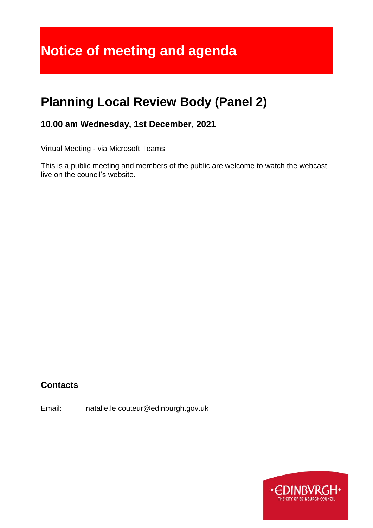# **Planning Local Review Body (Panel 2)**

**10.00 am Wednesday, 1st December, 2021**

Virtual Meeting - via Microsoft Teams

This is a public meeting and members of the public are welcome to watch the webcast live on the council's website.

# **Contacts**

Email: natalie.le.couteur@edinburgh.gov.uk

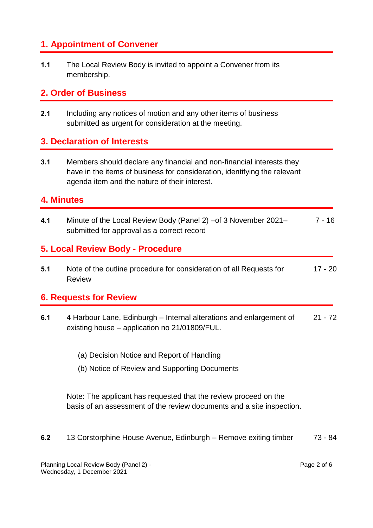# **1. Appointment of Convener**

**1.1** The Local Review Body is invited to appoint a Convener from its membership.

## **2. Order of Business**

**2.1** Including any notices of motion and any other items of business submitted as urgent for consideration at the meeting.

## **3. Declaration of Interests**

**3.1** Members should declare any financial and non-financial interests they have in the items of business for consideration, identifying the relevant agenda item and the nature of their interest.

#### **4. Minutes**

**4.1** Minute of the Local Review Body (Panel 2) –of 3 November 2021– submitted for approval as a correct record 7 - 16

#### **5. Local Review Body - Procedure**

**5.1** Note of the outline procedure for consideration of all Requests for Review 17 - 20

## **6. Requests for Review**

- **6.1** 4 Harbour Lane, Edinburgh Internal alterations and enlargement of existing house – application no 21/01809/FUL. 21 - 72
	- (a) Decision Notice and Report of Handling
	- (b) Notice of Review and Supporting Documents

Note: The applicant has requested that the review proceed on the basis of an assessment of the review documents and a site inspection.

**6.2** 13 Corstorphine House Avenue, Edinburgh – Remove exiting timber 73 - 84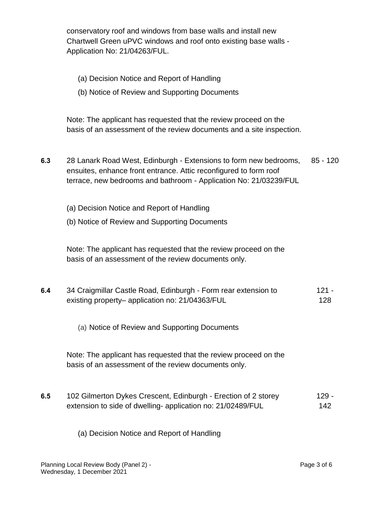conservatory roof and windows from base walls and install new Chartwell Green uPVC windows and roof onto existing base walls - Application No: 21/04263/FUL.

- (a) Decision Notice and Report of Handling
- (b) Notice of Review and Supporting Documents

Note: The applicant has requested that the review proceed on the basis of an assessment of the review documents and a site inspection.

- **6.3** 28 Lanark Road West, Edinburgh Extensions to form new bedrooms, ensuites, enhance front entrance. Attic reconfigured to form roof terrace, new bedrooms and bathroom - Application No: 21/03239/FUL 85 - 120
	- (a) Decision Notice and Report of Handling
	- (b) Notice of Review and Supporting Documents

Note: The applicant has requested that the review proceed on the basis of an assessment of the review documents only.

| 6.4 | 34 Craigmillar Castle Road, Edinburgh - Form rear extension to | - 121 |
|-----|----------------------------------------------------------------|-------|
|     | existing property- application no: 21/04363/FUL                | 128   |

(a) Notice of Review and Supporting Documents

Note: The applicant has requested that the review proceed on the basis of an assessment of the review documents only.

**6.5** 102 Gilmerton Dykes Crescent, Edinburgh - Erection of 2 storey extension to side of dwelling- application no: 21/02489/FUL 129 - 142

(a) Decision Notice and Report of Handling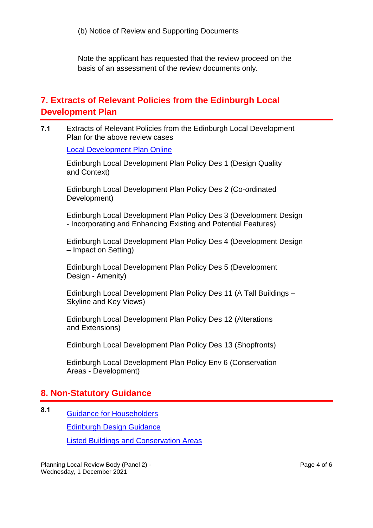Note the applicant has requested that the review proceed on the basis of an assessment of the review documents only.

## **7. Extracts of Relevant Policies from the Edinburgh Local Development Plan**

**7.1** Extracts of Relevant Policies from the Edinburgh Local Development Plan for the above review cases

[Local Development Plan Online](https://www.edinburgh.gov.uk/downloads/file/25264/edinburgh-local-development-plan)

Edinburgh Local Development Plan Policy Des 1 (Design Quality and Context)

Edinburgh Local Development Plan Policy Des 2 (Co-ordinated Development)

Edinburgh Local Development Plan Policy Des 3 (Development Design - Incorporating and Enhancing Existing and Potential Features)

Edinburgh Local Development Plan Policy Des 4 (Development Design – Impact on Setting)

Edinburgh Local Development Plan Policy Des 5 (Development Design - Amenity)

Edinburgh Local Development Plan Policy Des 11 (A Tall Buildings – Skyline and Key Views)

Edinburgh Local Development Plan Policy Des 12 (Alterations and Extensions)

Edinburgh Local Development Plan Policy Des 13 (Shopfronts)

Edinburgh Local Development Plan Policy Env 6 (Conservation Areas - Development)

## **8. Non-Statutory Guidance**

**8.1** [Guidance for Householders](https://www.edinburgh.gov.uk/downloads/file/27026/for-householders)

[Edinburgh Design Guidance](https://www.edinburgh.gov.uk/downloads/file/27602/edinburgh-design-guidance-january-2020) 

[Listed Buildings and Conservation Areas](https://www.edinburgh.gov.uk/downloads/file/27028/listed-building-and-conservation-areas) 

Planning Local Review Body (Panel 2) - Wednesday, 1 December 2021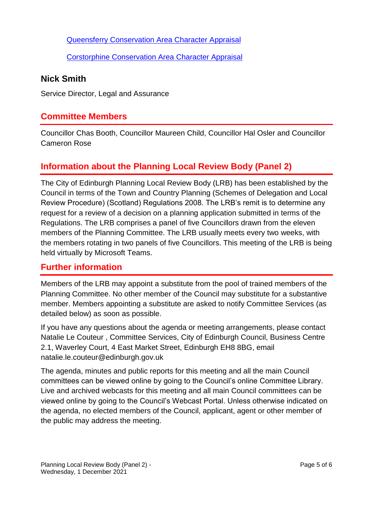[Queensferry Conservation Area Character Appraisal](https://www.edinburgh.gov.uk/downloads/file/23397/queensferry-conservation-area-character-appraisal) 

[Corstorphine Conservation Area Character Appraisal](https://www.edinburgh.gov.uk/downloads/file/23358/corstorphine-conservation-area-character-appraisal) 

#### **Nick Smith**

Service Director, Legal and Assurance

#### **Committee Members**

Councillor Chas Booth, Councillor Maureen Child, Councillor Hal Osler and Councillor Cameron Rose

# **Information about the Planning Local Review Body (Panel 2)**

The City of Edinburgh Planning Local Review Body (LRB) has been established by the Council in terms of the Town and Country Planning (Schemes of Delegation and Local Review Procedure) (Scotland) Regulations 2008. The LRB's remit is to determine any request for a review of a decision on a planning application submitted in terms of the Regulations. The LRB comprises a panel of five Councillors drawn from the eleven members of the Planning Committee. The LRB usually meets every two weeks, with the members rotating in two panels of five Councillors. This meeting of the LRB is being held virtually by Microsoft Teams.

#### **Further information**

Members of the LRB may appoint a substitute from the pool of trained members of the Planning Committee. No other member of the Council may substitute for a substantive member. Members appointing a substitute are asked to notify Committee Services (as detailed below) as soon as possible.

If you have any questions about the agenda or meeting arrangements, please contact Natalie Le Couteur , Committee Services, City of Edinburgh Council, Business Centre 2.1, Waverley Court, 4 East Market Street, Edinburgh EH8 8BG, email natalie.le.couteur@edinburgh.gov.uk

The agenda, minutes and public reports for this meeting and all the main Council committees can be viewed online by going to the Council's online Committee Library. Live and archived webcasts for this meeting and all main Council committees can be viewed online by going to the Council's Webcast Portal. Unless otherwise indicated on the agenda, no elected members of the Council, applicant, agent or other member of the public may address the meeting.